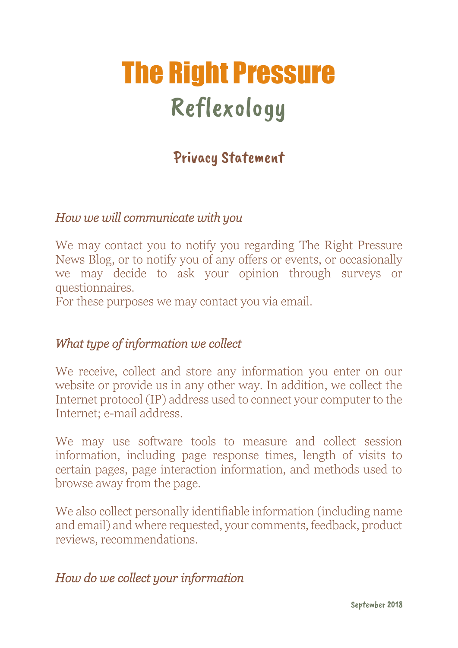# The Right Pressure Reflexology

# Privacy Statement

#### *How we will communicate with you*

We may contact you to notify you regarding The Right Pressure News Blog, or to notify you of any offers or events, or occasionally we may decide to ask your opinion through surveys or questionnaires.

For these purposes we may contact you via email.

#### *What type of information we collect*

We receive, collect and store any information you enter on our website or provide us in any other way. In addition, we collect the Internet protocol (IP) address used to connect your computer to the Internet; e-mail address.

We may use software tools to measure and collect session information, including page response times, length of visits to certain pages, page interaction information, and methods used to browse away from the page.

We also collect personally identifiable information (including name and email) and where requested, your comments, feedback, product reviews, recommendations.

### *How do we collect your information*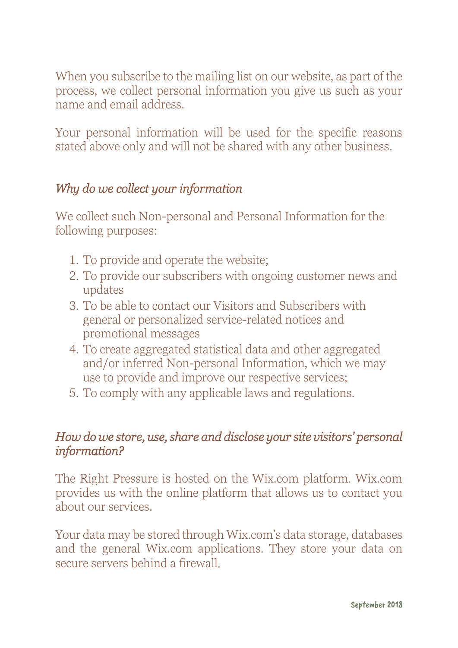When you subscribe to the mailing list on our website, as part of the process, we collect personal information you give us such as your name and email address.

Your personal information will be used for the specific reasons stated above only and will not be shared with any other business.

# *Why do we collect your information*

We collect such Non-personal and Personal Information for the following purposes:

- 1. To provide and operate the website;
- 2. To provide our subscribers with ongoing customer news and updates
- 3. To be able to contact our Visitors and Subscribers with general or personalized service-related notices and promotional messages
- 4. To create aggregated statistical data and other aggregated and/or inferred Non-personal Information, which we may use to provide and improve our respective services;
- 5. To comply with any applicable laws and regulations.

### *How do we store, use, share and disclose your site visitors' personal information?*

The Right Pressure is hosted on the Wix.com platform. Wix.com provides us with the online platform that allows us to contact you about our services.

Your data may be stored through Wix.com's data storage, databases and the general Wix.com applications. They store your data on secure servers behind a firewall.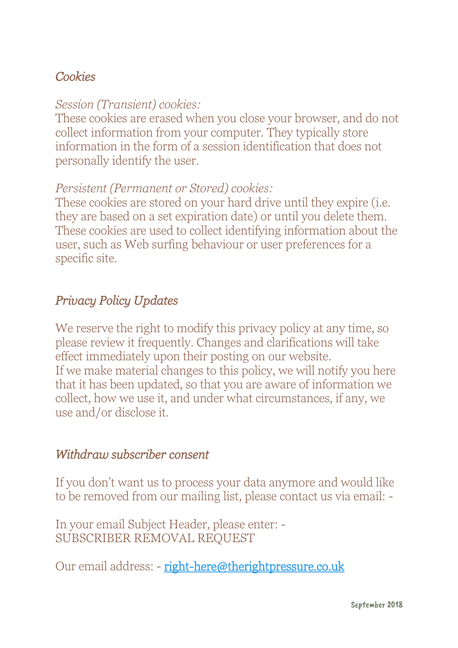# *Cookies*

# *Session (Transient) cookies:*

These cookies are erased when you close your browser, and do not collect information from your computer. They typically store information in the form of a session identification that does not personally identify the user.

# *Persistent (Permanent or Stored) cookies:*

These cookies are stored on your hard drive until they expire (i.e. they are based on a set expiration date) or until you delete them. These cookies are used to collect identifying information about the user, such as Web surfing behaviour or user preferences for a specific site.

# *Privacy Policy Updates*

We reserve the right to modify this privacy policy at any time, so please review it frequently. Changes and clarifications will take effect immediately upon their posting on our website. If we make material changes to this policy, we will notify you here that it has been updated, so that you are aware of information we collect, how we use it, and under what circumstances, if any, we use and/or disclose it.

### *Withdraw subscriber consent*

If you don't want us to process your data anymore and would like to be removed from our mailing list, please contact us via email: -

In your email Subject Header, please enter: - SUBSCRIBER REMOVAL REQUEST

Our email address: - right-here@therightpressure.co.uk